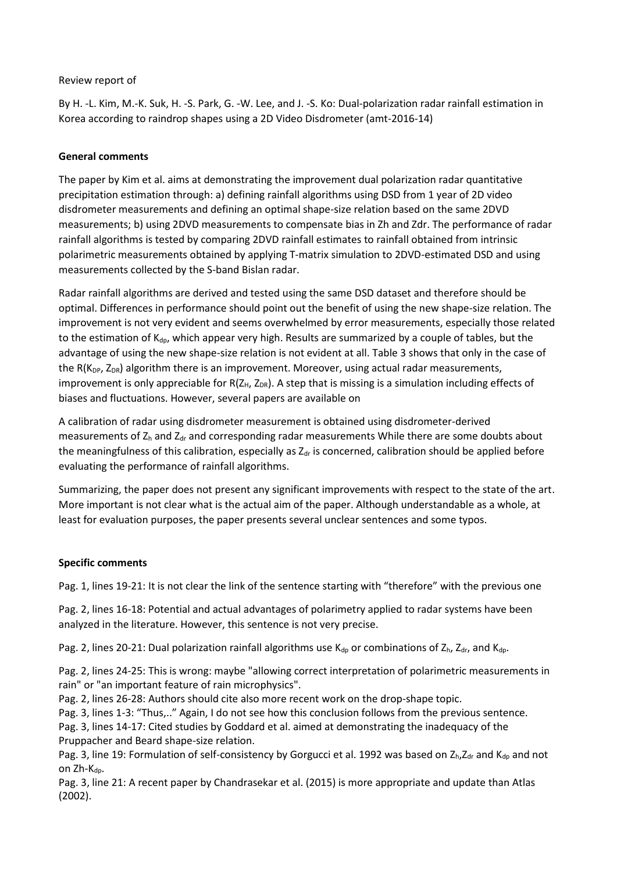## Review report of

By H. -L. Kim, M.-K. Suk, H. -S. Park, G. -W. Lee, and J. -S. Ko: Dual-polarization radar rainfall estimation in Korea according to raindrop shapes using a 2D Video Disdrometer (amt-2016-14)

## **General comments**

The paper by Kim et al. aims at demonstrating the improvement dual polarization radar quantitative precipitation estimation through: a) defining rainfall algorithms using DSD from 1 year of 2D video disdrometer measurements and defining an optimal shape-size relation based on the same 2DVD measurements; b) using 2DVD measurements to compensate bias in Zh and Zdr. The performance of radar rainfall algorithms is tested by comparing 2DVD rainfall estimates to rainfall obtained from intrinsic polarimetric measurements obtained by applying T-matrix simulation to 2DVD-estimated DSD and using measurements collected by the S-band Bislan radar.

Radar rainfall algorithms are derived and tested using the same DSD dataset and therefore should be optimal. Differences in performance should point out the benefit of using the new shape-size relation. The improvement is not very evident and seems overwhelmed by error measurements, especially those related to the estimation of  $K_{dp}$ , which appear very high. Results are summarized by a couple of tables, but the advantage of using the new shape-size relation is not evident at all. Table 3 shows that only in the case of the R( $K_{DP}$ , Z<sub>DR</sub>) algorithm there is an improvement. Moreover, using actual radar measurements, improvement is only appreciable for  $R(Z_H, Z_{DR})$ . A step that is missing is a simulation including effects of biases and fluctuations. However, several papers are available on

A calibration of radar using disdrometer measurement is obtained using disdrometer-derived measurements of  $Z<sub>h</sub>$  and  $Z<sub>dr</sub>$  and corresponding radar measurements While there are some doubts about the meaningfulness of this calibration, especially as  $Z<sub>dr</sub>$  is concerned, calibration should be applied before evaluating the performance of rainfall algorithms.

Summarizing, the paper does not present any significant improvements with respect to the state of the art. More important is not clear what is the actual aim of the paper. Although understandable as a whole, at least for evaluation purposes, the paper presents several unclear sentences and some typos.

## **Specific comments**

Pag. 1, lines 19-21: It is not clear the link of the sentence starting with "therefore" with the previous one

Pag. 2, lines 16-18: Potential and actual advantages of polarimetry applied to radar systems have been analyzed in the literature. However, this sentence is not very precise.

Pag. 2, lines 20-21: Dual polarization rainfall algorithms use  $K_{dp}$  or combinations of  $Z_h$ ,  $Z_{dr}$ , and  $K_{dp}$ .

Pag. 2, lines 24-25: This is wrong: maybe "allowing correct interpretation of polarimetric measurements in rain" or "an important feature of rain microphysics".

Pag. 2, lines 26-28: Authors should cite also more recent work on the drop-shape topic.

Pag. 3, lines 1-3: "Thus,.." Again, I do not see how this conclusion follows from the previous sentence.

Pag. 3, lines 14-17: Cited studies by Goddard et al. aimed at demonstrating the inadequacy of the Pruppacher and Beard shape-size relation.

Pag. 3, line 19: Formulation of self-consistency by Gorgucci et al. 1992 was based on Z<sub>h</sub>,Z<sub>dr</sub> and K<sub>dp</sub> and not on Zh-Kdp.

Pag. 3, line 21: A recent paper by Chandrasekar et al. (2015) is more appropriate and update than Atlas (2002).